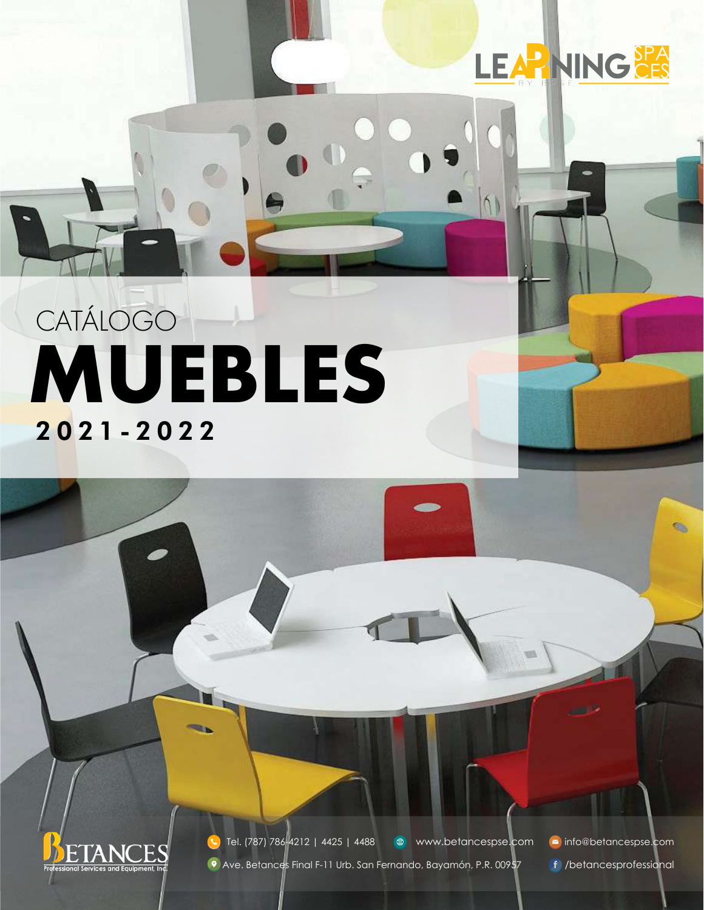

 $\Lambda$ 

## **MUEBLES** 2021-2022 **CATÁLOGO**



<sup>●</sup> www.betancespse.com ■ info@betancespse.com <sup>O</sup> Ave. Betances Final F-11 Urb. San Fernando, Bayamón, P.R. 00957 f /betancesprofessional Tel. (787) 786-4212 | 4425 | 4488

**G.**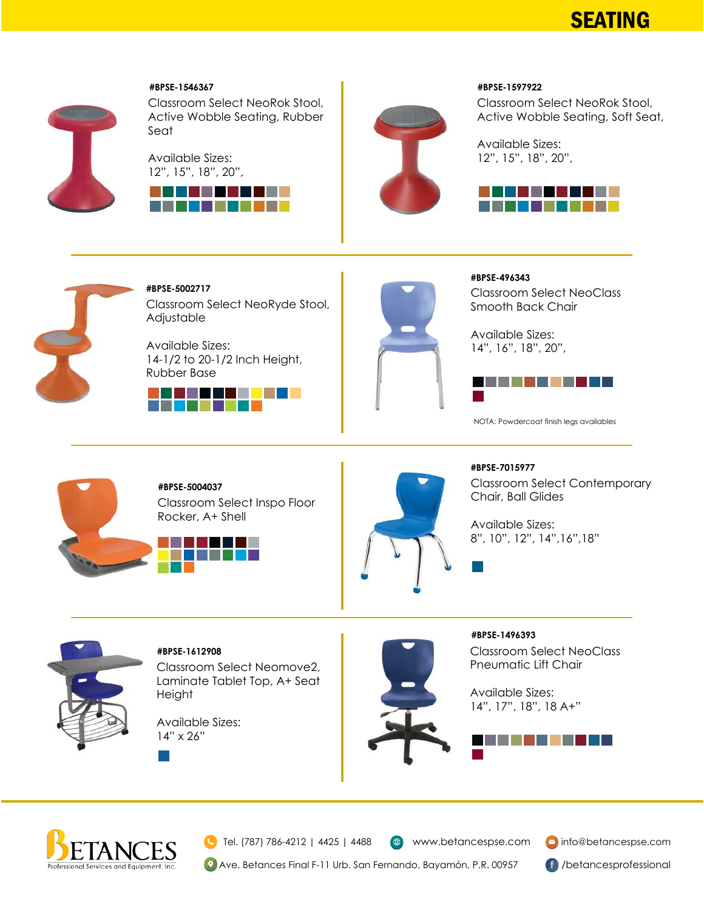



#### **#BPSE-1546367**

Classroom Select NeoRok Stool, Active Wobble Seating, Rubber Seat

Available Sizes: 12", 15", 18", 20",





#### **#BPSE-1597922**

Classroom Select NeoRok Stool, Active Wobble Seating, Soft Seat,

Available Sizes: 12", 15", 18", 20",





Classroom Select NeoRyde Stool, Adjustable **#BPSE-5002717**

Available Sizes: 14-1/2 to 20-1/2 Inch Height, Rubber Base





Classroom Select NeoClass Smooth Back Chair **#BPSE-496343**

Available Sizes: 14", 16", 18", 20",



NOTA: Powdercoat finish legs availables



Classroom Select Inspo Floor Rocker, A+ Shell **#BPSE-5004037**





Classroom Select Contemporary Chair, Ball Glides **#BPSE-7015977**

Available Sizes: 8", 10", 12", 14",16",18"



**#BPSE-1612908**

Classroom Select Neomove2, Laminate Tablet Top, A+ Seat Height

Available Sizes: 14" x 26"



Classroom Select NeoClass Pneumatic Lift Chair **#BPSE-1496393**

Available Sizes: 14", 17", 18", 18 A+"





Tel. (787) 786-4212 | 4425 | 4488

 $\bigoplus$  www.betancespse.com  $\bigotimes$  info@betancespse.com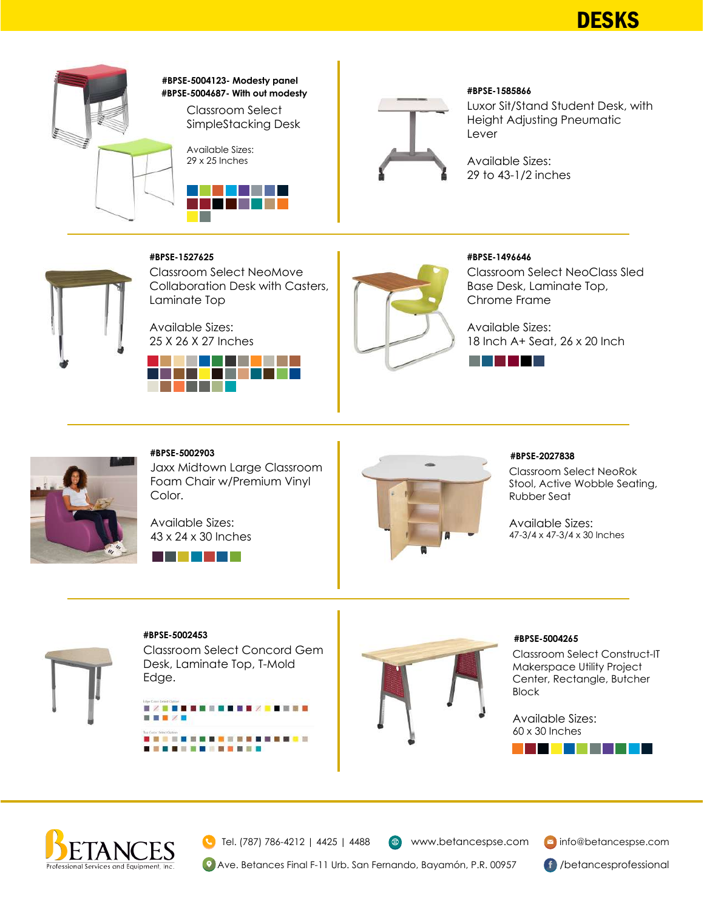**DESKS** 



#### Classroom Select **#BPSE-5004687- With out modesty #BPSE-5004123- Modesty panel**





#### **#BPSE-1585866**

Luxor Sit/Stand Student Desk, with Height Adjusting Pneumatic Lever

Available Sizes: 29 to 43-1/2 inches

#### **#BPSE-1527625**

Classroom Select NeoMove Collaboration Desk with Casters, Laminate Top

Available Sizes: 25 X 26 X 27 Inches





#### **#BPSE-1496646**

Classroom Select NeoClass Sled Base Desk, Laminate Top, Chrome Frame

Available Sizes: 18 Inch A+ Seat, 26 x 20 Inch

a kacamatan ing Kabupatèn Kabupatèn Kabupatèn Kabupatèn Kabupatèn Kabupatèn Kabupatèn Kabupatèn Kabupatèn Kabu



#### **#BPSE-5002903**

Jaxx Midtown Large Classroom Foam Chair w/Premium Vinyl Color.

Available Sizes: 43 x 24 x 30 Inches





#### **#BPSE-2027838**

Classroom Select NeoRok Stool, Active Wobble Seating, Rubber Seat

Available Sizes: 47-3/4 x 47-3/4 x 30 Inches

#### **#BPSE-5002453**

Classroom Select Concord Gem Desk, Laminate Top, T-Mold Edge.





#### **#BPSE-5004265**

Classroom Select Construct-IT Makerspace Utility Project Center, Rectangle, Butcher Block

. . . . . . . . .

Available Sizes: 60 x 30 Inches



Tel. (787) 786-4212 | 4425 | 4488

 $\bigoplus$ 

www.betancespse.com **info@betancespse.com**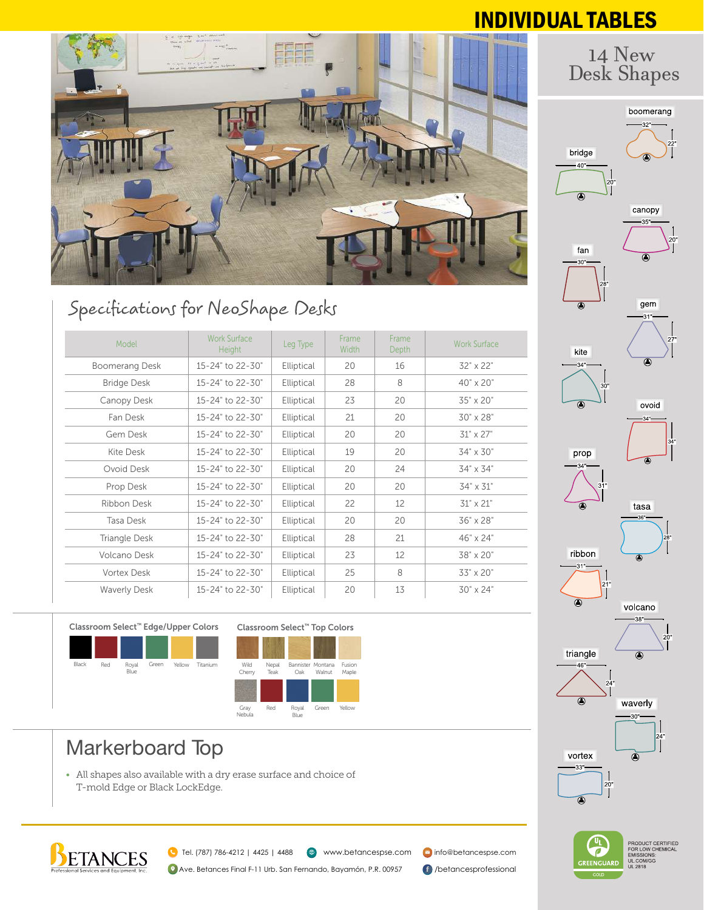## INDIVIDUAL TABLES

14 New



## Specifications for NeoShape Desks

| Model                 | <b>Work Surface</b><br><b>Height</b> | Leg Type   | Frame<br><b>Width</b> | Frame<br><b>Depth</b> | <b>Work Surface</b> |
|-----------------------|--------------------------------------|------------|-----------------------|-----------------------|---------------------|
| <b>Boomerang Desk</b> | 15-24" to 22-30"                     | Elliptical | 20                    | 16                    | 32" x 22"           |
| <b>Bridge Desk</b>    | 15-24" to 22-30"                     | Elliptical | 28                    | 8                     | 40" x 20"           |
| Canopy Desk           | 15-24" to 22-30"                     | Elliptical | 23                    | 20                    | 35" x 20"           |
| Fan Desk              | 15-24" to 22-30"                     | Elliptical | 21                    | 20                    | 30" x 28"           |
| Gem Desk              | 15-24" to 22-30"                     | Elliptical | 20                    | 20                    | 31" x 27"           |
| Kite Desk             | 15-24" to 22-30"                     | Elliptical | 19                    | 20                    | 34" x 30"           |
| Ovoid Desk            | 15-24" to 22-30"                     | Elliptical | 20                    | 24                    | 34" x 34"           |
| Prop Desk             | 15-24" to 22-30"                     | Elliptical | 20                    | 20                    | 34" x 31"           |
| Ribbon Desk           | 15-24" to 22-30"                     | Elliptical | 22                    | 12                    | 31" x 21"           |
| Tasa Desk             | 15-24" to 22-30"                     | Elliptical | 20                    | 20                    | 36" x 28"           |
| Triangle Desk         | 15-24" to 22-30"                     | Elliptical | 28                    | 21                    | 46" x 24"           |
| Volcano Desk          | 15-24" to 22-30"                     | Elliptical | 23                    | 12                    | 38" x 20"           |
| <b>Vortex Desk</b>    | 15-24" to 22-30"                     | Elliptical | 25                    | 8                     | 33" x 20"           |
| <b>Waverly Desk</b>   | 15-24" to 22-30"                     | Elliptical | 20                    | 13                    | 30" x 24"           |





## Markerboard Top

• All shapes also available with a dry erase surface and choice of T-mold Edge or Black LockEdge.



<sup>3</sup> www.betancespse.com <sup>3</sup> info@betancespse.com Tel. (787) 786-4212 | 4425 | 4488

<sup>2</sup> Ave. Betances Final F-11 Urb. San Fernando, Bayamón, P.R. 00957 **f** /betancesprofessional





PRODUCT CERTIFIED<br>FOR LOW CHEMICAL<br>EMISSIONS:<br>UL.COM/GG<br>UL 2818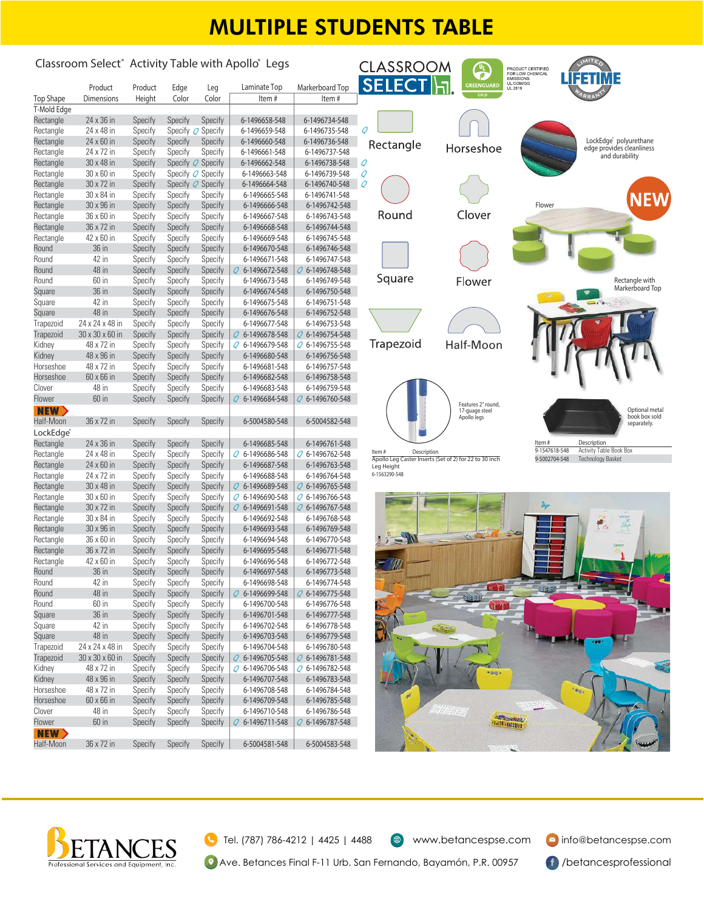## MULTIPLE STUDENTS TABLE

#### **Classroom Select® Activity Table with Apollo® Legs CLASSROOM** PRODUCT CERTIFIED<br>FOR LOW CHEMICAL **SFIFC Product Product Edge Leg Laminate Top Markerboard Top Top Shape Dimensions Height Color Color Item # Item # T-Mold Edge** Rectangle 24 x 36 in Specify Specify Specify **6-1496658-548 6-1496734-548** Rectangle 24 x 48 in Specify Specify Q Specify **6-1496659-548 6-1496735-548** Q Rectangle 24 x 60 in Specify Specify Specify **6-1496660-548 6-1496736-548 LockEdge® polyurethane**  Rectangle **edge provides cleanliness**  Horseshoe Rectangle 24 x 72 in Specify Specify Specify **6-1496661-548 6-1496737-548 and durability** Rectangle 30 x 48 in Specify Specify Q Specify **6-1496662-548 6-1496738-548** Q Rectangle 30 x 60 in Specify Specify Q Specify **6-1496663-548 6-1496739-548** Q Rectangle 30 x 72 in Specify Specify Q Specify **6-1496664-548 6-1496740-548** Q Rectangle 30 x 84 in Specify Specify Specify **6-1496665-548 6-1496741-548 NEW** Rectangle 30 x 96 in Specify Specify Specify **6-1496666-548 6-1496742-548 Flower** Round Clover Rectangle 36 x 60 in Specify Specify Specify **6-1496667-548 6-1496743-548** Rectangle 36 x 72 in Specify Specify Specify **6-1496668-548 6-1496744-548** Rectangle 42 x 60 in Specify Specify Specify **6-1496669-548 6-1496745-548** Round 36 in Specify Specify Specify **6-1496670-548 6-1496746-548** Round 42 in Specify Specify Specify **6-1496671-548 6-1496747-548** Round 48 in Specify Specify Specify Q **6-1496672-548** Q **6-1496748-548** Square **Rectangle with**  Round 60 in Specify Specify Specify **6-1496673-548 6-1496749-548** Flower **Markerboard Top** Square 36 in Specify Specify Specify **6-1496674-548 6-1496750-548** Square 42 in Specify Specify Specify **6-1496675-548 6-1496751-548** Square 48 in Specify Specify Specify **6-1496676-548 6-1496752-548** Trapezoid 24 x 24 x 48 in Specify Specify Specify **6-1496677-548 6-1496753-548** Trapezoid 30 x 30 x 60 in Specify Specify Specify Q **6-1496678-548** Q **6-1496754-548** Trapezoid Half-Moon Kidney 48 x 72 in Specify Specify Specify Q **6-1496679-548** Q **6-1496755-548** Kidney 48 x 96 in Specify Specify Specify **6-1496680-548 6-1496756-548** Horseshoe 48 x 72 in Specify Specify Specify **6-1496681-548 6-1496757-548** Horseshoe 60 x 66 in Specify Specify Specify **6-1496682-548 6-1496758-548** Clover 48 in Specify Specify Specify **6-1496683-548 6-1496759-548** Flower 60 in Specify Specify Specify Q **6-1496684-548** Q **6-1496760-548 Features 2" round, Optional metal**  NEW **17-guage steel Apollo legs book box sold**  Half-Moon 36 x 72 in Specify Specify Specify **6-5004580-548 6-5004582-548 separately. LockEdge®** Rectangle 24 x 36 in Specify Specify Specify **6-1496685-548 6-1496761-548 Item #** Descript **9-1547618-548** Activity Table Book Box Rectangle 24 x 48 in Specify Specify Specify Q **6-1496686-548** Q **6-1496762-548 Item # Description Apollo Leg Caster Inserts (Set of 2) for 22 to 30 inch 9-5002704-548** Technology Basket Rectangle 24 x 60 in Specify Specify Specify **6-1496687-548 6-1496763-548** Leg Height Rectangle 24 x 72 in Specify Specify Specify **6-1496688-548 6-1496764-548 6-1563290-548** Rectangle 30 x 48 in Specify Specify Specify Q **6-1496689-548** Q **6-1496765-548** Rectangle 30 x 60 in Specify Specify Specify Q **6-1496690-548** Q **6-1496766-548** Rectangle 30 x 72 in Specify Specify Specify Q **6-1496691-548** Q **6-1496767-548** Rectangle 30 x 84 in Specify Specify Specify **6-1496692-548 6-1496768-548** Rectangle 30 x 96 in Specify Specify Specify **6-1496693-548 6-1496769-548** Rectangle 36 x 60 in Specify Specify Specify **6-1496694-548 6-1496770-548** Rectangle 36 x 72 in Specify Specify Specify **6-1496695-548 6-1496771-548** Rectangle 42 x 60 in Specify Specify Specify **6-1496696-548 6-1496772-548** Round 36 in Specify Specify Specify **6-1496697-548 6-1496773-548** Round 42 in Specify Specify Specify **6-1496698-548 6-1496774-548 Quart** Round 48 in Specify Specify Specify Q **6-1496699-548** Q **6-1496775-548** Round 60 in Specify Specify Specify **6-1496700-548 6-1496776-548** Square 36 in Specify Specify Specify **6-1496701-548 6-1496777-548** Square 42 in Specify Specify Specify **6-1496702-548 6-1496778-548** Square 48 in Specify Specify Specify **6-1496703-548 6-1496779-548** Trapezoid 24 x 24 x 48 in Specify Specify Specify **6-1496704-548 6-1496780-548** Trapezoid 30 x 30 x 60 in Specify Specify Specify Q **6-1496705-548** Q **6-1496781-548** Kidney 48 x 72 in Specify Specify Specify Q **6-1496706-548** Q **6-1496782-548** Kidney 48 x 96 in Specify Specify Specify **6-1496707-548 6-1496783-548** Horseshoe 48 x 72 in Specify Specify Specify **6-1496708-548 6-1496784-548** Horseshoe 60 x 66 in Specify Specify Specify **6-1496709-548 6-1496785-548** Clover 48 in Specify Specify Specify **6-1496710-548 6-1496786-548** Flower 60 in Specify Specify Specify Q **6-1496711-548** Q **6-1496787-548 Baltimores NEW** Half-Moon 36 x 72 in Specify Specify Specify **6-5004581-548 6-5004583-548**



Tel. (787) 786-4212 | 4425 | 4488

www.betancespse.com info@betancespse.com

**(9)** Ave. Betances Final F-11 Urb. San Fernando, Bayamón, P.R. 00957 (f) /betancesprofessional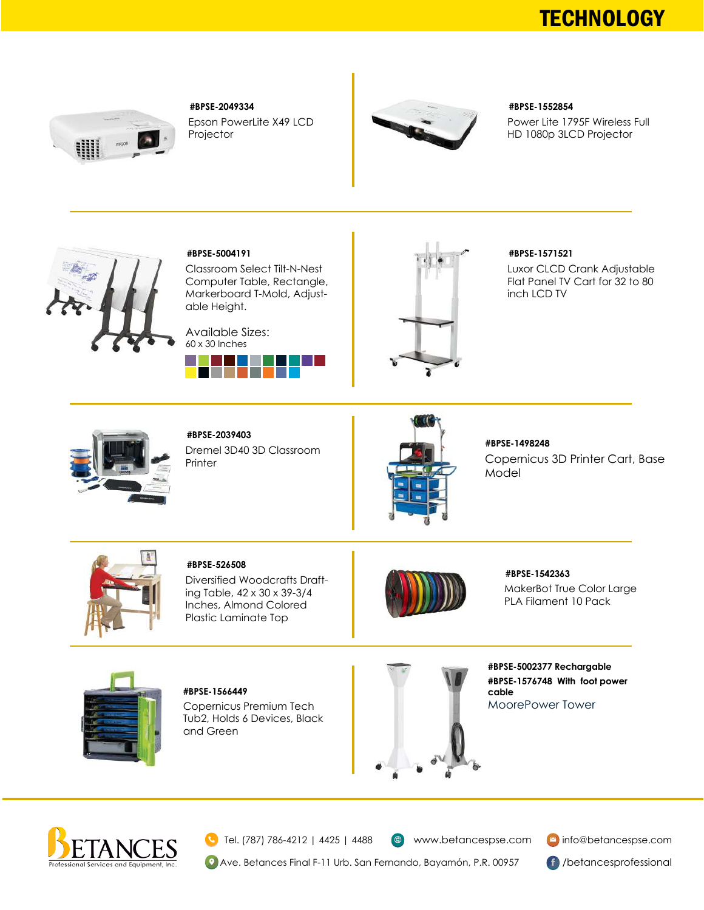## **TECHNOLOGY**



Epson PowerLite X49 LCD Projector **#BPSE-2049334**



#### **#BPSE-1552854**

Power Lite 1795F Wireless Full HD 1080p 3LCD Projector



#### **#BPSE-5004191**

Classroom Select Tilt-N-Nest Computer Table, Rectangle, Markerboard T-Mold, Adjustable Height.

Available Sizes: 60 x 30 Inches





#### **#BPSE-1571521**

Luxor CLCD Crank Adjustable Flat Panel TV Cart for 32 to 80 inch LCD TV



Dremel 3D40 3D Classroom Printer **#BPSE-2039403**



**#BPSE-1498248**

Copernicus 3D Printer Cart, Base Model



**#BPSE-526508**

Diversified Woodcrafts Drafting Table, 42 x 30 x 39-3/4 Inches, Almond Colored Plastic Laminate Top



MakerBot True Color Large PLA Filament 10 Pack **#BPSE-1542363**



Copernicus Premium Tech Tub2, Holds 6 Devices, Black and Green **#BPSE-1566449**



**#BPSE-5002377 Rechargable #BPSE-1576748 With foot power cable** MoorePower Tower



Tel. (787) 786-4212 | 4425 | 4488

www.betancespse.com **info@betancespse.com**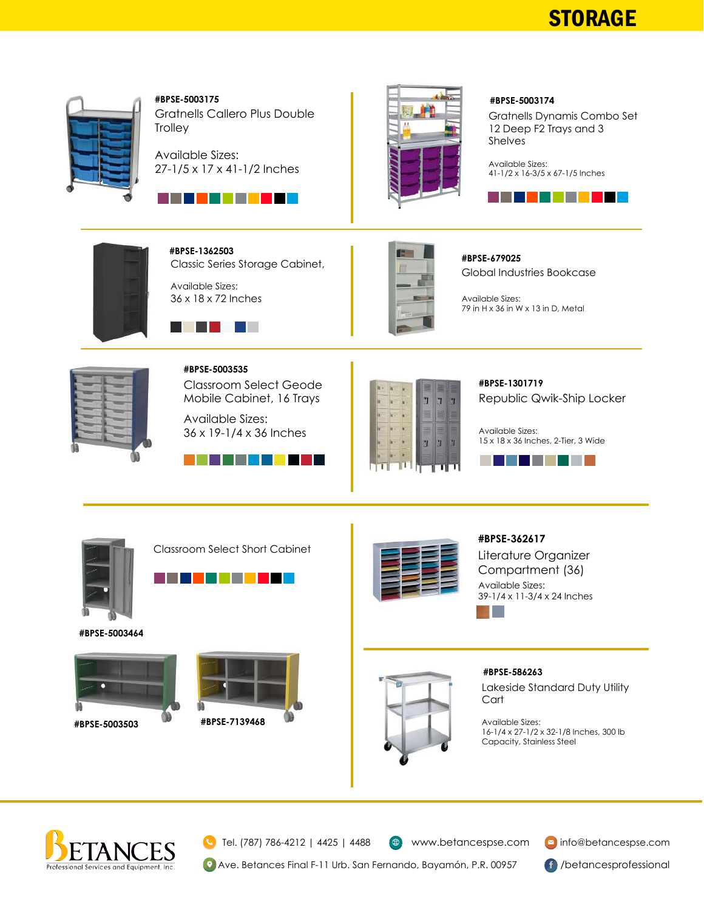## **STORAGE**



Gratnells Callero Plus Double **Trolley #BPSE-5003175**

Available Sizes: 27-1/5 x 17 x 41-1/2 Inches





#### **#BPSE-5003174**

Gratnells Dynamis Combo Set 12 Deep F2 Trays and 3 Shelves

Available Sizes: 41-1/2 x 16-3/5 x 67-1/5 Inches





Classic Series Storage Cabinet, Available Sizes: **#BPSE-1362503**





Global Industries Bookcase **#BPSE-679025**

Available Sizes: 79 in H x 36 in W x 13 in D, Metal



Classroom Select Geode Mobile Cabinet, 16 Trays **#BPSE-5003535**

Available Sizes: 36 x 19-1/4 x 36 Inches





Republic Qwik-Ship Locker **#BPSE-1301719**

Available Sizes: 15 x 18 x 36 Inches, 2-Tier, 3 Wide





Classroom Select Short Cabinet



**#BPSE-5003464**







#### **#BPSE-362617**

Literature Organizer Compartment (36) Available Sizes: 39-1/4 x 11-3/4 x 24 Inches



#### **#BPSE-586263**

Lakeside Standard Duty Utility **Cart** 

Available Sizes: 16-1/4 x 27-1/2 x 32-1/8 Inches, 300 lb Capacity, Stainless Steel



Tel. (787) 786-4212 | 4425 | 4488

 $\bigoplus$ 

www.betancespse.com info@betancespse.com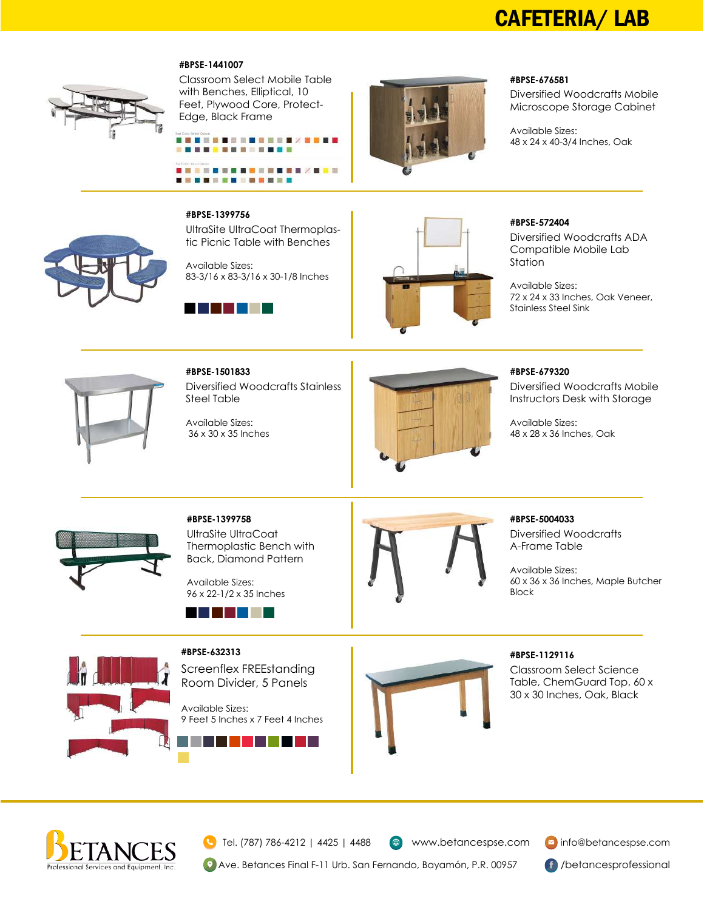## CAFETERIA/ LAB

#### **#BPSE-1441007**



Classroom Select Mobile Table with Benches, Elliptical, 10 Feet, Plywood Core, Protect-Edge, Black Frame





#### **#BPSE-676581**

Diversified Woodcrafts Mobile Microscope Storage Cabinet

Available Sizes: 48 x 24 x 40-3/4 Inches, Oak

tic Picnic Table with Benches Available Sizes: 83-3/16 x 83-3/16 x 30-1/8 Inches

UltraSite UltraCoat Thermoplas-



**#BPSE-1399756**



#### **#BPSE-572404**

Diversified Woodcrafts ADA Compatible Mobile Lab Station

Available Sizes: 72 x 24 x 33 Inches, Oak Veneer, Stainless Steel Sink



Diversified Woodcrafts Stainless Steel Table **#BPSE-1501833**

Available Sizes: 36 x 30 x 35 Inches



#### **#BPSE-679320**

Diversified Woodcrafts Mobile Instructors Desk with Storage

Available Sizes: 48 x 28 x 36 Inches, Oak

Diversified Woodcrafts A-Frame Table



UltraSite UltraCoat Thermoplastic Bench with Back, Diamond Pattern **#BPSE-1399758**

Available Sizes: 96 x 22-1/2 x 35 Inches





**#BPSE-632313**

Screenflex FREEstanding Room Divider, 5 Panels

Available Sizes: 9 Feet 5 Inches x 7 Feet 4 Inches

a l

and the state of the state



### **#BPSE-1129116**

Available Sizes:

**#BPSE-5004033**

Block

Classroom Select Science Table, ChemGuard Top, 60 x 30 x 30 Inches, Oak, Black

60 x 36 x 36 Inches, Maple Butcher



Tel. (787) 786-4212 | 4425 | 4488

www.betancespse.com **v**info@betancespse.com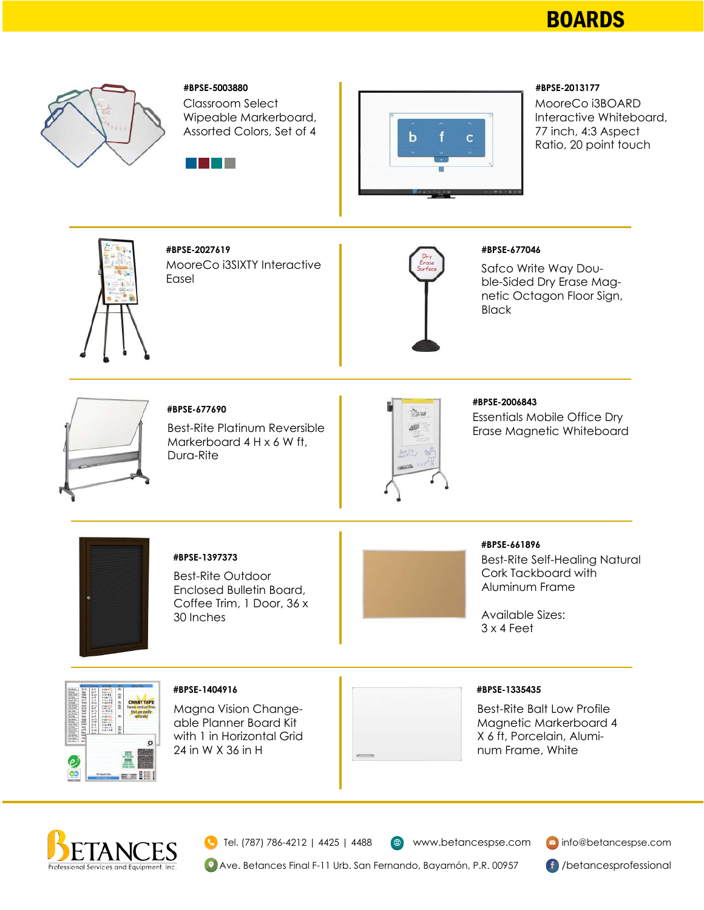## BOARDS



#### **#BPSE-5003880**

Classroom Select Wipeable Markerboard, Assorted Colors, Set of 4





#### **#BPSE-2013177**

MooreCo i3BOARD Interactive Whiteboard, 77 inch, 4:3 Aspect Ratio, 20 point touch



MooreCo i3SIXTY Interactive Easel **#BPSE-2027619**



#### **#BPSE-677046**

Safco Write Way Double-Sided Dry Erase Magnetic Octagon Floor Sign, **Black** 



**#BPSE-677690**

Best-Rite Platinum Reversible Markerboard 4 H x 6 W ft, Dura-Rite



**#BPSE-2006843**

Essentials Mobile Office Dry Erase Magnetic Whiteboard



#### **#BPSE-1397373**

Best-Rite Outdoor Enclosed Bulletin Board, Coffee Trim, 1 Door, 36 x 30 Inches



## **#BPSE-661896**

Best-Rite Self-Healing Natural Cork Tackboard with Aluminum Frame

Available Sizes: 3 x 4 Feet



Magna Vision Changeable Planner Board Kit

**#BPSE-1404916**

24 in W X 36 in H

with 1 in Horizontal Grid

#### **#BPSE-1335435**

Best-Rite Balt Low Profile Magnetic Markerboard 4 X 6 ft, Porcelain, Aluminum Frame, White



Tel. (787) 786-4212 | 4425 | 4488

 $\bigoplus$  www.betancespse.com  $\bigotimes$  info@betancespse.com

<sup>9</sup> Ave. Betances Final F-11 Urb. San Fernando, Bayamón, P.R. 00957 **69** /betancesprofessional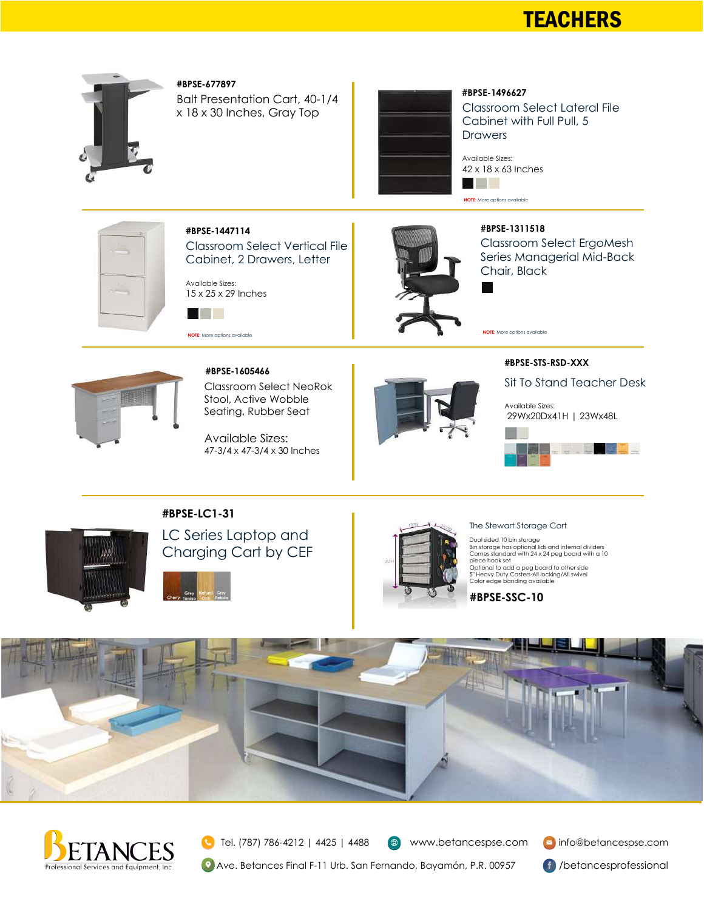## **TEACHERS**



**#BPSE-677897**

Balt Presentation Cart, 40-1/4 x 18 x 30 Inches, Gray Top



#### Classroom Select Lateral File Cabinet with Full Pull, 5 **Drawers #BPSE-1496627**

Available Sizes: 42 x 18 x 63 Inches **The Contract** 

**NOTE:** More options available

**#BPSE-1311518**

**NOTE:** More options available



Classroom Select Vertical File Cabinet, 2 Drawers, Letter

Available Sizes: 15 x 25 x 29 Inches

**#BPSE-1447114**



Classroom Select ErgoMesh Series Managerial Mid-Back Chair, Black



Classroom Select NeoRok Stool, Active Wobble Seating, Rubber Seat **#BPSE-1605466**

Available Sizes: 47-3/4 x 47-3/4 x 30 Inches



**#BPSE-STS-RSD-XXX**

Sit To Stand Teacher Desk

Available Sizes: 29Wx20Dx41H | 23Wx48L



#### **#BPSE-LC1-31**



LC Series Laptop and Charging Cart by CEF



The Stewart Storage Cart

Dual sided 10 bin storage Bin storage has optional lids and internal dividers Comes standard with 24 x 24 peg board with a 10 piece hook set Optional to add a peg board to other side 5" Heavy Duty Casters-All locking/All swivel Color edge banding available







 $\bigoplus$  www.betancespse.com  $\bigotimes$  info@betancespse.com

<sup>2</sup> Ave. Betances Final F-11 Urb. San Fernando, Bayamón, P.R. 00957 **6** /betancesprofessional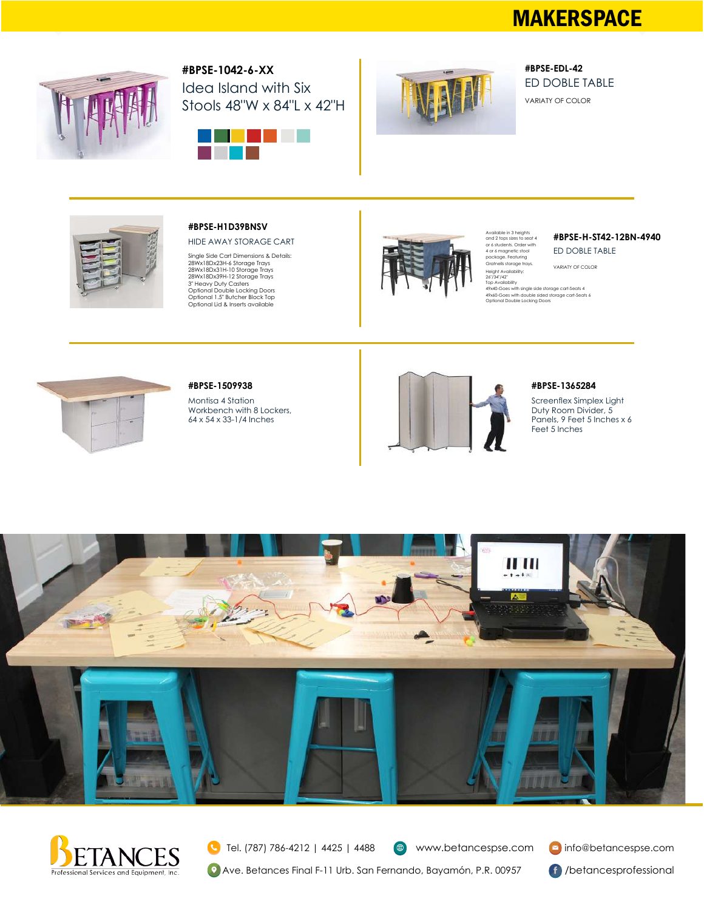## **MAKERSPACE**



Idea Island with Six Stools 48"W x 84"L x 42"H **#BPSE-1042-6-XX**





ED DOBLE TABLE VARIATY OF COLOR **#BPSE-EDL-42**



#### **#BPSE-H1D39BNSV**

HIDE AWAY STORAGE CART

Single Side Cart Dimensions & Details: 28Wx18Dx23H-6 Storage Trays 28Wx18Dx31H-10 Storage Trays 28Wx18Dx39H-12 Storage Trays 3" Heavy Duty Casters Optional Double Locking Doors Optional 1.5" Butcher Block Top Optional Lid & Inserts available



# Available in 3 heights and 2 tops sizes to seat 4 or 6 students. Order with 4 or 6 magnetic stool package. Featuring Gratnells storage trays.

#### ED DOBLE TABLE **#BPSE-H-ST42-12BN-4940**

VARIATY OF COLOR

Height Availability:<br>26"/34"/42"<br>Top Availability<br>49x40-Goes with single side storage cart-Seats 4<br>49x60-Goes with single sided storage cart-Seats 6<br>Optional Double Locking Doors

### **#BPSE-1365284**

Screenflex Simplex Light Duty Room Divider, 5 Panels, 9 Feet 5 Inches x 6 Feet 5 Inches



#### **#BPSE-1509938**

Montisa 4 Station Workbench with 8 Lockers, 64 x 54 x 33-1/4 Inches







Tel. (787) 786-4212 | 4425 | 4488 ( ⊕) **(9)** Ave. Betances Final F-11 Urb. San Fernando, Bayamón, P.R. 00957 **61** /betancesprofessional

www.betancespse.com info@betancespse.com